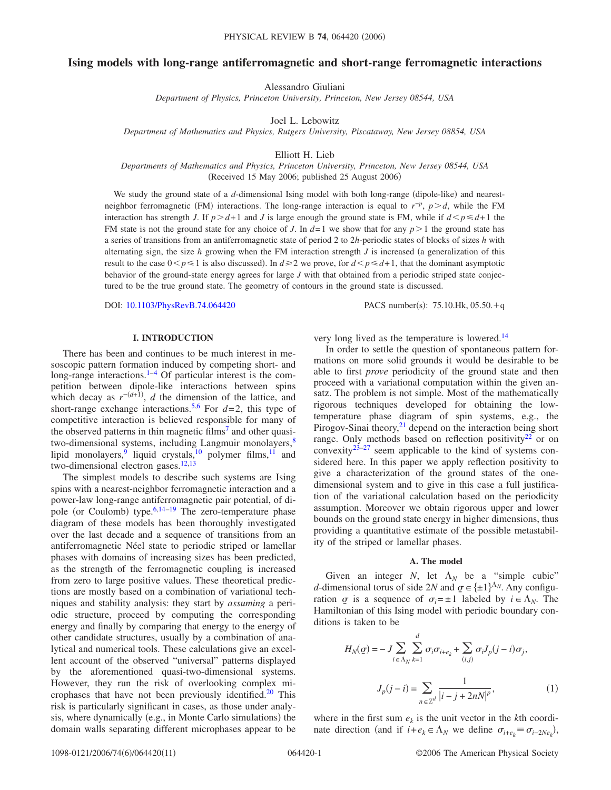# **Ising models with long-range antiferromagnetic and short-range ferromagnetic interactions**

Alessandro Giuliani

*Department of Physics, Princeton University, Princeton, New Jersey 08544, USA*

Joel L. Lebowitz

*Department of Mathematics and Physics, Rutgers University, Piscataway, New Jersey 08854, USA*

Elliott H. Lieb

*Departments of Mathematics and Physics, Princeton University, Princeton, New Jersey 08544, USA* (Received 15 May 2006; published 25 August 2006)

We study the ground state of a d-dimensional Ising model with both long-range (dipole-like) and nearestneighbor ferromagnetic (FM) interactions. The long-range interaction is equal to  $r<sup>-p</sup>$ ,  $p > d$ , while the FM interaction has strength *J*. If  $p > d+1$  and *J* is large enough the ground state is FM, while if  $d \leq p \leq d+1$  the FM state is not the ground state for any choice of *J*. In  $d=1$  we show that for any  $p>1$  the ground state has a series of transitions from an antiferromagnetic state of period 2 to 2*h*-periodic states of blocks of sizes *h* with alternating sign, the size  $h$  growing when the FM interaction strength  $J$  is increased (a generalization of this result to the case  $0 < p \le 1$  is also discussed). In  $d \ge 2$  we prove, for  $d < p \le d+1$ , that the dominant asymptotic behavior of the ground-state energy agrees for large *J* with that obtained from a periodic striped state conjectured to be the true ground state. The geometry of contours in the ground state is discussed.

DOI: [10.1103/PhysRevB.74.064420](http://dx.doi.org/10.1103/PhysRevB.74.064420)

PACS number(s):  $75.10$ .Hk,  $05.50 + q$ 

## **I. INTRODUCTION**

There has been and continues to be much interest in mesoscopic pattern formation induced by competing short- and long-range interactions. $1-4$  Of particular interest is the competition between dipole-like interactions between spins which decay as  $r^{-(d+1)}$ , *d* the dimension of the lattice, and short-range exchange interactions.<sup>[5](#page-10-2)[,6](#page-10-3)</sup> For  $d=2$ , this type of competitive interaction is believed responsible for many of the observed patterns in thin magnetic films<sup> $\eta$ </sup> and other quasitwo-dimensional systems, including Langmuir monolayers,<sup>8</sup> lipid monolayers,<sup>9</sup> liquid crystals,<sup>10</sup> polymer films,<sup>11</sup> and two-dimensional electron gases. $12,13$  $12,13$ 

The simplest models to describe such systems are Ising spins with a nearest-neighbor ferromagnetic interaction and a power-law long-range antiferromagnetic pair potential, of di-pole (or Coulomb) type.<sup>6,[14–](#page-10-11)[19](#page-10-12)</sup> The zero-temperature phase diagram of these models has been thoroughly investigated over the last decade and a sequence of transitions from an antiferromagnetic Néel state to periodic striped or lamellar phases with domains of increasing sizes has been predicted, as the strength of the ferromagnetic coupling is increased from zero to large positive values. These theoretical predictions are mostly based on a combination of variational techniques and stability analysis: they start by *assuming* a periodic structure, proceed by computing the corresponding energy and finally by comparing that energy to the energy of other candidate structures, usually by a combination of analytical and numerical tools. These calculations give an excellent account of the observed "universal" patterns displayed by the aforementioned quasi-two-dimensional systems. However, they run the risk of overlooking complex microphases that have not been previously identified.<sup>20</sup> This risk is particularly significant in cases, as those under analysis, where dynamically (e.g., in Monte Carlo simulations) the domain walls separating different microphases appear to be very long lived as the temperature is lowered.<sup>14</sup>

In order to settle the question of spontaneous pattern formations on more solid grounds it would be desirable to be able to first *prove* periodicity of the ground state and then proceed with a variational computation within the given ansatz. The problem is not simple. Most of the mathematically rigorous techniques developed for obtaining the lowtemperature phase diagram of spin systems, e.g., the Pirogov-Sinai theory, $2<sup>1</sup>$  depend on the interaction being short range. Only methods based on reflection positivity<sup>22</sup> or on convexity $23-27$  seem applicable to the kind of systems considered here. In this paper we apply reflection positivity to give a characterization of the ground states of the onedimensional system and to give in this case a full justification of the variational calculation based on the periodicity assumption. Moreover we obtain rigorous upper and lower bounds on the ground state energy in higher dimensions, thus providing a quantitative estimate of the possible metastability of the striped or lamellar phases.

### **A. The model**

Given an integer *N*, let  $\Lambda_N$  be a "simple cubic" *d*-dimensional torus of side 2*N* and  $q \in {\pm 1}^{N_N}$ . Any configuration  $\sigma$  is a sequence of  $\sigma_i = \pm 1$  labeled by  $i \in \Lambda_N$ . The Hamiltonian of this Ising model with periodic boundary conditions is taken to be

<span id="page-0-0"></span>
$$
H_N(\sigma) = -J \sum_{i \in \Lambda_N} \sum_{k=1}^d \sigma_i \sigma_{i+e_k} + \sum_{(i,j)} \sigma_i J_p(j-i) \sigma_j,
$$
  

$$
J_p(j-i) = \sum_{n \in \mathbb{Z}^d} \frac{1}{|i-j+2nN|^p},
$$
 (1)

where in the first sum  $e_k$  is the unit vector in the *k*th coordinate direction (and if  $i + e_k \in \Lambda_N$  we define  $\sigma_{i+e_k} \equiv \sigma_{i-2Ne_k}$ ),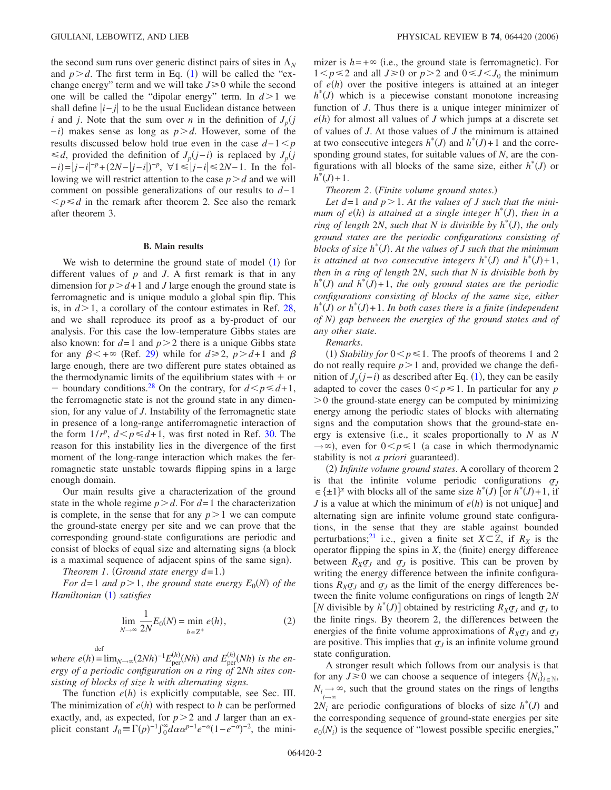the second sum runs over generic distinct pairs of sites in  $\Lambda_N$ and  $p > d$ . The first term in Eq. ([1](#page-0-0)) will be called the "exchange energy" term and we will take  $J \ge 0$  while the second one will be called the "dipolar energy" term. In  $d > 1$  we shall define  $|i-j|$  to be the usual Euclidean distance between *i* and *j*. Note that the sum over *n* in the definition of  $J_p(j)$ *−i*) makes sense as long as *p > d*. However, some of the results discussed below hold true even in the case  $d-1 < p$ ≤*d*, provided the definition of  $J_p(j-i)$  is replaced by  $J_p(j)$ *−i*)=|*j*−*i*|<sup>-*p*</sup>+(2*N*−|*j*−*i*|)<sup>-*p*</sup>, ∀1≤|*j*−*i*|≤2*N*−1. In the following we will restrict attention to the case  $p > d$  and we will comment on possible generalizations of our results to *d*−1  $\leq p \leq d$  in the remark after theorem 2. See also the remark after theorem 3.

#### **B. Main results**

We wish to determine the ground state of model ([1](#page-0-0)) for different values of *p* and *J*. A first remark is that in any dimension for  $p > d+1$  and *J* large enough the ground state is ferromagnetic and is unique modulo a global spin flip. This is, in  $d > 1$ , a corollary of the contour estimates in Ref. [28,](#page-10-18) and we shall reproduce its proof as a by-product of our analysis. For this case the low-temperature Gibbs states are also known: for  $d=1$  and  $p>2$  there is a unique Gibbs state for any  $\beta < +\infty$  (Ref. [29](#page-10-19)) while for  $d \ge 2$ ,  $p > d+1$  and  $\beta$ large enough, there are two different pure states obtained as the thermodynamic limits of the equilibrium states with  $+$  or - boundary conditions.<sup>28</sup> On the contrary, for  $d \leq p \leq d+1$ , the ferromagnetic state is not the ground state in any dimension, for any value of *J*. Instability of the ferromagnetic state in presence of a long-range antiferromagnetic interaction of the form  $1/r^p$ ,  $d < p \le d+1$ , was first noted in Ref. [30.](#page-10-20) The reason for this instability lies in the divergence of the first moment of the long-range interaction which makes the ferromagnetic state unstable towards flipping spins in a large enough domain.

Our main results give a characterization of the ground state in the whole regime  $p > d$ . For  $d=1$  the characterization is complete, in the sense that for any  $p>1$  we can compute the ground-state energy per site and we can prove that the corresponding ground-state configurations are periodic and consist of blocks of equal size and alternating signs (a block is a maximal sequence of adjacent spins of the same sign).

*Theorem 1. (Ground state energy*  $d=1$ *.)* 

<span id="page-1-0"></span>*For d*=1 *and*  $p > 1$ , *the ground state energy*  $E_0(N)$  *of the Hamiltonian* ([1](#page-0-0)) satisfies

$$
\lim_{N \to \infty} \frac{1}{2N} E_0(N) = \min_{h \in \mathbb{Z}^+} e(h),
$$
 (2)

def

 $where$   $e(h) = \lim_{N \to \infty} (2Nh)^{-1} E_{\text{per}}^{(h)}$  $E_{\text{per}}^{(h)}(Nh)$  and  $E_{\text{per}}^{(h)}(Nh)$  is the en*ergy of a periodic configuration on a ring of* 2*Nh sites consisting of blocks of size h with alternating signs.*

The function  $e(h)$  is explicitly computable, see Sec. III. The minimization of  $e(h)$  with respect to  $h$  can be performed exactly, and, as expected, for  $p>2$  and *J* larger than an explicit constant  $J_0 = \Gamma(p)^{-1} \int_0^{\infty} d\alpha \alpha^{p-1} e^{-\alpha} (1 - e^{-\alpha})^{-2}$ , the mini-

mizer is  $h = +\infty$  (i.e., the ground state is ferromagnetic). For  $1 < p \le 2$  and all  $J \ge 0$  or  $p > 2$  and  $0 \le J < J_0$  the minimum of  $e(h)$  over the positive integers is attained at an integer  $h^*(J)$  which is a piecewise constant monotone increasing function of *J*. Thus there is a unique integer minimizer of  $e(h)$  for almost all values of *J* which jumps at a discrete set of values of *J*. At those values of *J* the minimum is attained at two consecutive integers  $h^*(J)$  and  $h^*(J)+1$  and the corresponding ground states, for suitable values of *N*, are the configurations with all blocks of the same size, either  $h^*(J)$  or  $h^*(J) + 1$ .

# **Theorem 2.** (Finite volume ground states.)

Let  $d=1$  and  $p>1$ . At the values of J such that the mini*mum of e*(*h*) is attained at a single integer  $h^*(J)$ , then in a *ring of length*  $2N$ , *such that*  $N$  *is divisible by*  $h^*(J)$ *, the only ground states are the periodic configurations consisting of blocks of size h*\* *J*-. *At the values of J such that the minimum is attained at two consecutive integers*  $h^*(J)$  *and*  $h^*(J)+1$ , *then in a ring of length* 2*N*, *such that N is divisible both by*  $h^*(J)$  and  $h^*(J) + 1$ , the only ground states are the periodic *configurations consisting of blocks of the same size, either*  $h^*(J)$  or  $h^*(J)$ +1. In both cases there is a finite (independent *of N) gap between the energies of the ground states and of any other state.*

*Remarks*.

(1) Stability for  $0 < p \le 1$ . The proofs of theorems 1 and 2 do not really require  $p>1$  and, provided we change the definition of  $J_p(j-i)$  as described after Eq. ([1](#page-0-0)), they can be easily adapted to cover the cases  $0 < p \le 1$ . In particular for any *p*  $>0$  the ground-state energy can be computed by minimizing energy among the periodic states of blocks with alternating signs and the computation shows that the ground-state energy is extensive (i.e., it scales proportionally to  $N$  as  $N$  $\rightarrow \infty$ ), even for  $0 \le p \le 1$  (a case in which thermodynamic stability is not *a priori* guaranteed).

(2) Infinite volume ground states. A corollary of theorem 2 is that the infinite volume periodic configurations  $q_j$  $\in \{\pm 1\}^{\mathbb{Z}}$  with blocks all of the same size  $h^*(J)$  [or  $h^*(J) + 1$ , if *J* is a value at which the minimum of  $e(h)$  is not unique] and alternating sign are infinite volume ground state configurations, in the sense that they are stable against bounded perturbations;<sup>21</sup> i.e., given a finite set  $X \subset \mathbb{Z}$ , if  $R_X$  is the operator flipping the spins in  $X$ , the (finite) energy difference between  $R_X \sigma_J$  and  $\sigma_J$  is positive. This can be proven by writing the energy difference between the infinite configurations  $R_X \sigma_J$  and  $\sigma_J$  as the limit of the energy differences between the finite volume configurations on rings of length 2*N* [*N* divisible by  $h^*(J)$ ] obtained by restricting  $R_X \sigma_J$  and  $\sigma_J$  to the finite rings. By theorem 2, the differences between the energies of the finite volume approximations of  $R_X \sigma_J$  and  $\sigma_J$ are positive. This implies that  $q_j$  is an infinite volume ground state configuration.

A stronger result which follows from our analysis is that for any  $J \ge 0$  we can choose a sequence of integers  $\{N_i\}_{i \in \mathbb{N}}$ ,  $N_i \rightarrow i \rightarrow \infty$  $\infty$ , such that the ground states on the rings of lengths  $2N_i$  are periodic configurations of blocks of size  $h^*(J)$  and the corresponding sequence of ground-state energies per site  $e_0(N_i)$  is the sequence of "lowest possible specific energies,"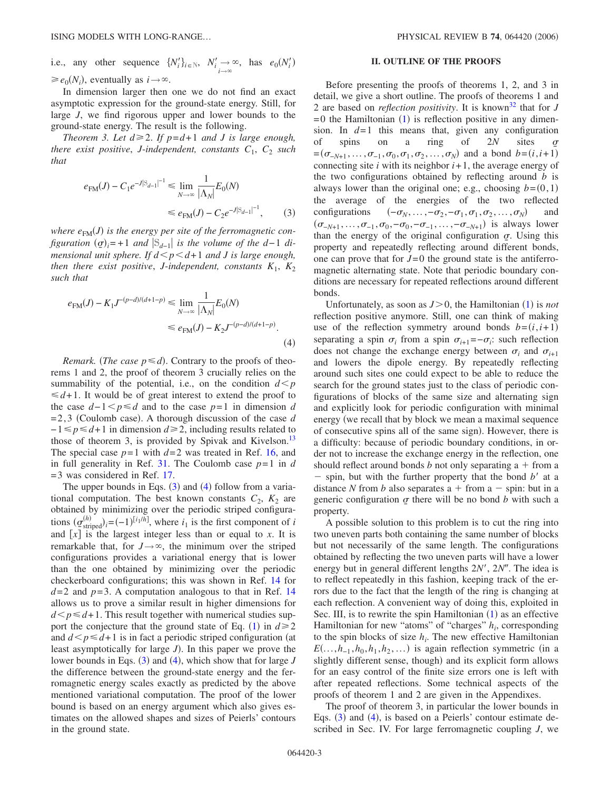i.e., any other sequence  $\{N'_i\}_{i \in \mathbb{N}}$ ,  $N'_i \to \infty$ , has  $e_0(N'_i)$  $\geq e_0(N_i)$ , eventually as  $i \rightarrow \infty$ .

In dimension larger then one we do not find an exact asymptotic expression for the ground-state energy. Still, for large *J*, we find rigorous upper and lower bounds to the ground-state energy. The result is the following.

<span id="page-2-0"></span>*Theorem 3. Let*  $d \geq 2$ *. If*  $p = d + 1$  *and J is large enough, there exist positive, J-independent, constants*  $C_1$ ,  $C_2$  *such that*

$$
e_{FM}(J) - C_1 e^{-J|S_{d-1}|^{-1}} \le \lim_{N \to \infty} \frac{1}{|\Lambda_N|} E_0(N)
$$
  

$$
\le e_{FM}(J) - C_2 e^{-J|S_{d-1}|^{-1}}, \qquad (3)
$$

where  $e_{FM}(J)$  is the energy per site of the ferromagnetic con $figuration \left(\sigma\right)_{i} = +1$  *and*  $|S_{d-1}|$  *is the volume of the d*-1 *dimensional unit sphere. If*  $d < p < d+1$  *and J is large enough, then there exist positive, J-independent, constants*  $K_1$ ,  $K_2$ *such that*

<span id="page-2-1"></span>
$$
e_{FM}(J) - K_1 J^{-(p-d)/(d+1-p)} \le \lim_{N \to \infty} \frac{1}{|\Lambda_N|} E_0(N)
$$
  

$$
\le e_{FM}(J) - K_2 J^{-(p-d)/(d+1-p)}.
$$
  
(4)

*Remark.* (*The case*  $p \le d$ ). Contrary to the proofs of theorems 1 and 2, the proof of theorem 3 crucially relies on the summability of the potential, i.e., on the condition  $d \leq p$  $\leq d+1$ . It would be of great interest to extend the proof to the case  $d-1 < p \le d$  and to the case  $p=1$  in dimension *d*  $= 2,3$  (Coulomb case). A thorough discussion of the case *d*  $-1 \le p \le d+1$  in dimension  $d \ge 2$ , including results related to those of theorem 3, is provided by Spivak and Kivelson.<sup>13</sup> The special case  $p=1$  with  $d=2$  was treated in Ref. [16,](#page-10-21) and in full generality in Ref. [31.](#page-10-22) The Coulomb case *p*=1 in *d* =3 was considered in Ref. [17.](#page-10-23)

The upper bounds in Eqs.  $(3)$  $(3)$  $(3)$  and  $(4)$  $(4)$  $(4)$  follow from a variational computation. The best known constants  $C_2$ ,  $K_2$  are obtained by minimizing over the periodic striped configurations  $(g_{\text{striped}}^{(h)})_i = (-1)^{[i_1/h]}$ , where  $i_1$  is the first component of *i* and  $\lfloor x \rfloor$  is the largest integer less than or equal to *x*. It is remarkable that, for  $J \rightarrow \infty$ , the minimum over the striped configurations provides a variational energy that is lower than the one obtained by minimizing over the periodic checkerboard configurations; this was shown in Ref. [14](#page-10-11) for  $d=2$  and  $p=3$ . A computation analogous to that in Ref. [14](#page-10-11) allows us to prove a similar result in higher dimensions for  $d \leq p \leq d+1$ . This result together with numerical studies sup-port the conjecture that the ground state of Eq. ([1](#page-0-0)) in  $d \ge 2$ and  $d \leq p \leq d+1$  is in fact a periodic striped configuration (at least asymptotically for large *J*). In this paper we prove the lower bounds in Eqs. ([3](#page-2-0)) and ([4](#page-2-1)), which show that for large *J* the difference between the ground-state energy and the ferromagnetic energy scales exactly as predicted by the above mentioned variational computation. The proof of the lower bound is based on an energy argument which also gives estimates on the allowed shapes and sizes of Peierls' contours in the ground state.

### **II. OUTLINE OF THE PROOFS**

Before presenting the proofs of theorems 1, 2, and 3 in detail, we give a short outline. The proofs of theorems 1 and 2 are based on *reflection positivity*. It is known<sup>[32](#page-10-24)</sup> that for *J*  $= 0$  the Hamiltonian  $(1)$  $(1)$  $(1)$  is reflection positive in any dimension. In  $d=1$  this means that, given any configuration of spins on a ring of 2*N* sites  $= (\sigma_{-N+1}, \ldots, \sigma_{-1}, \sigma_0, \sigma_1, \sigma_2, \ldots, \sigma_N)$  and a bond  $b = (i, i+1)$ connecting site *i* with its neighbor *i*+1, the average energy of the two configurations obtained by reflecting around *b* is always lower than the original one; e.g., choosing  $b=(0,1)$ the average of the energies of the two reflected configurations  $(-\sigma_N, \ldots, -\sigma_2, -\sigma_1, \sigma_1, \sigma_2, \ldots, \sigma_N)$  and  $(\sigma_{-N+1}, \ldots, \sigma_{-1}, \sigma_0, -\sigma_0, -\sigma_{-1}, \ldots, -\sigma_{-N+1})$  is always lower than the energy of the original configuration  $\sigma$ . Using this property and repeatedly reflecting around different bonds, one can prove that for  $J=0$  the ground state is the antiferromagnetic alternating state. Note that periodic boundary conditions are necessary for repeated reflections around different bonds.

Unfortunately, as soon as  $J > 0$ , the Hamiltonian  $(1)$  $(1)$  $(1)$  is *not* reflection positive anymore. Still, one can think of making use of the reflection symmetry around bonds  $b=(i, i+1)$ separating a spin  $\sigma_i$  from a spin  $\sigma_{i+1} = -\sigma_i$ : such reflection does not change the exchange energy between  $\sigma_i$  and  $\sigma_{i+1}$ and lowers the dipole energy. By repeatedly reflecting around such sites one could expect to be able to reduce the search for the ground states just to the class of periodic configurations of blocks of the same size and alternating sign and explicitly look for periodic configuration with minimal energy (we recall that by block we mean a maximal sequence of consecutive spins all of the same sign). However, there is a difficulty: because of periodic boundary conditions, in order not to increase the exchange energy in the reflection, one should reflect around bonds  $b$  not only separating  $a + from a$  $-$  spin, but with the further property that the bond  $b'$  at a distance N from  $b$  also separates  $a + from$   $a - spin$ : but in a generic configuration  $\sigma$  there will be no bond *b* with such a property.

A possible solution to this problem is to cut the ring into two uneven parts both containing the same number of blocks but not necessarily of the same length. The configurations obtained by reflecting the two uneven parts will have a lower energy but in general different lengths 2N', 2N". The idea is to reflect repeatedly in this fashion, keeping track of the errors due to the fact that the length of the ring is changing at each reflection. A convenient way of doing this, exploited in Sec. III, is to rewrite the spin Hamiltonian  $(1)$  $(1)$  $(1)$  as an effective Hamiltonian for new "atoms" of "charges"  $h_i$ , corresponding to the spin blocks of size  $h_i$ . The new effective Hamiltonian  $E(\ldots,h_{-1},h_0,h_1,h_2,\ldots)$  is again reflection symmetric (in a slightly different sense, though) and its explicit form allows for an easy control of the finite size errors one is left with after repeated reflections. Some technical aspects of the proofs of theorem 1 and 2 are given in the Appendixes.

The proof of theorem 3, in particular the lower bounds in Eqs. ([3](#page-2-0)) and ([4](#page-2-1)), is based on a Peierls' contour estimate described in Sec. IV. For large ferromagnetic coupling *J*, we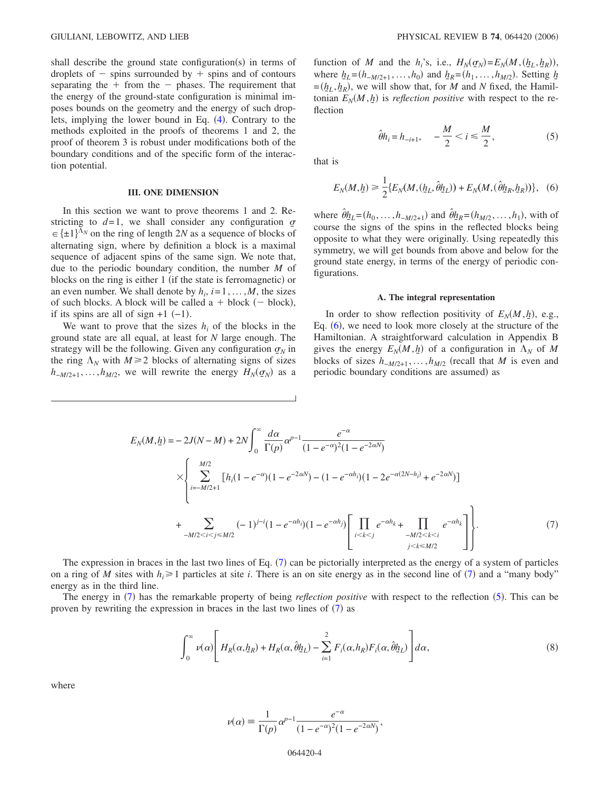shall describe the ground state configuration(s) in terms of droplets of  $-$  spins surrounded by  $+$  spins and of contours separating the  $+$  from the  $-$  phases. The requirement that the energy of the ground-state configuration is minimal imposes bounds on the geometry and the energy of such drop-lets, implying the lower bound in Eq. ([4](#page-2-1)). Contrary to the methods exploited in the proofs of theorems 1 and 2, the proof of theorem 3 is robust under modifications both of the boundary conditions and of the specific form of the interaction potential.

### **III. ONE DIMENSION**

In this section we want to prove theorems 1 and 2. Restricting to  $d=1$ , we shall consider any configuration  $\sigma$  $\in \{\pm 1\}^{\Lambda_N}$  on the ring of length 2*N* as a sequence of blocks of alternating sign, where by definition a block is a maximal sequence of adjacent spins of the same sign. We note that, due to the periodic boundary condition, the number *M* of blocks on the ring is either 1 (if the state is ferromagnetic) or an even number. We shall denote by  $h_i$ ,  $i = 1, ..., M$ , the sizes of such blocks. A block will be called  $a + block$  (- block), if its spins are all of sign  $+1$  (-1).

We want to prove that the sizes  $h_i$  of the blocks in the ground state are all equal, at least for *N* large enough. The strategy will be the following. Given any configuration  $\sigma_N$  in the ring  $\Lambda_N$  with  $M \geq 2$  blocks of alternating signs of sizes  $h_{-M/2+1}, \ldots, h_{M/2}$ , we will rewrite the energy  $H_N(\sigma_N)$  as a

function of *M* and the  $h_i$ 's, i.e.,  $H_N(\sigma_N) = E_N(M, (h_L, h_R))$ , where  $h_L = (h_{-M/2+1}, \ldots, h_0)$  and  $h_R = (h_1, \ldots, h_{M/2})$ . Setting  $h_L$  $=(h_L, h_R)$ , we will show that, for *M* and *N* fixed, the Hamiltonian  $E_N(M, h)$  is *reflection positive* with respect to the reflection

$$
\hat{\theta}h_i = h_{-i+1}, \quad -\frac{M}{2} < i \leq \frac{M}{2},\tag{5}
$$

<span id="page-3-2"></span><span id="page-3-0"></span>that is

$$
E_N(M, \underline{h}) \ge \frac{1}{2} \{ E_N(M, (\underline{h}_L, \hat{\theta} \underline{h}_L)) + E_N(M, (\hat{\theta} \underline{h}_R, \underline{h}_R)) \}, \quad (6)
$$

where  $\hat{\theta}_{n}^{I} = (h_0, ..., h_{-M/2+1})$  and  $\hat{\theta}_{n}^{I} = (h_{M/2}, ..., h_1)$ , with of course the signs of the spins in the reflected blocks being opposite to what they were originally. Using repeatedly this symmetry, we will get bounds from above and below for the ground state energy, in terms of the energy of periodic configurations.

#### **A. The integral representation**

In order to show reflection positivity of  $E_N(M, h)$ , e.g., Eq. ([6](#page-3-0)), we need to look more closely at the structure of the Hamiltonian. A straightforward calculation in Appendix B gives the energy  $E_N(M, h)$  of a configuration in  $\Lambda_N$  of M blocks of sizes  $h_{-M/2+1}, \ldots, h_{M/2}$  (recall that *M* is even and periodic boundary conditions are assumed) as

<span id="page-3-1"></span>
$$
E_N(M, h) = -2J(N - M) + 2N \int_0^{\infty} \frac{d\alpha}{\Gamma(p)} \alpha^{p-1} \frac{e^{-\alpha}}{(1 - e^{-\alpha})^2 (1 - e^{-2\alpha N})}
$$
  
 
$$
\times \left\{ \sum_{i=-M/2+1}^{M/2} [h_i(1 - e^{-\alpha})(1 - e^{-2\alpha N}) - (1 - e^{-\alpha h_i})(1 - 2e^{-\alpha(2N - h_i)} + e^{-2\alpha N})] + \sum_{-M/2 < i < j} (-1)^{j-i} (1 - e^{-\alpha h_i})(1 - e^{-\alpha h_j}) \left[ \prod_{i < k < j} e^{-\alpha h_k} + \prod_{\substack{-M/2 < k < i \\ j < k \le M/2}} e^{-\alpha h_k} \right] \right\}.
$$

$$
(7)
$$

The expression in braces in the last two lines of Eq. ([7](#page-3-1)) can be pictorially interpreted as the energy of a system of particles on a ring of *M* sites with  $h_i \geq 1$  particles at site *i*. There is an on site energy as in the second line of ([7](#page-3-1)) and a "many body" energy as in the third line.

The energy in ([7](#page-3-1)) has the remarkable property of being *reflection positive* with respect to the reflection ([5](#page-3-2)). This can be proven by rewriting the expression in braces in the last two lines of  $(7)$  $(7)$  $(7)$  as

$$
\int_0^\infty \nu(\alpha) \left[ H_R(\alpha, \underline{h}_R) + H_R(\alpha, \hat{\theta} \underline{h}_L) - \sum_{i=1}^2 F_i(\alpha, h_R) F_i(\alpha, \hat{\theta} \underline{h}_L) \right] d\alpha, \tag{8}
$$

where

$$
\nu(\alpha) = \frac{1}{\Gamma(p)} \alpha^{p-1} \frac{e^{-\alpha}}{(1 - e^{-\alpha})^2 (1 - e^{-2\alpha N})},
$$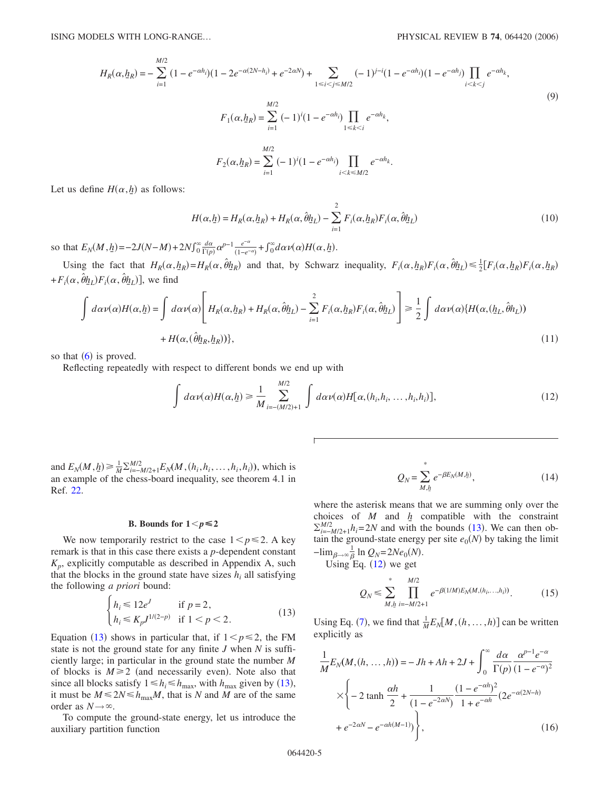$$
H_R(\alpha, h_R) = -\sum_{i=1}^{M/2} (1 - e^{-\alpha h_i})(1 - 2e^{-\alpha(2N - h_i)} + e^{-2\alpha N}) + \sum_{1 \le i < j \le M/2} (-1)^{j-i}(1 - e^{-\alpha h_i})(1 - e^{-\alpha h_j}) \prod_{i < k < j} e^{-\alpha h_k},
$$
  
\n
$$
F_1(\alpha, h_R) = \sum_{i=1}^{M/2} (-1)^i (1 - e^{-\alpha h_i}) \prod_{1 \le k < i} e^{-\alpha h_k},
$$
  
\n
$$
F_2(\alpha, h_R) = \sum_{i=1}^{M/2} (-1)^i (1 - e^{-\alpha h_i}) \prod_{i < k \le M/2} e^{-\alpha h_k}.
$$
  
\n(9)

Let us define  $H(\alpha, h)$  as follows:

$$
H(\alpha, \underline{h}) = H_R(\alpha, \underline{h}_R) + H_R(\alpha, \hat{\theta} \underline{h}_L) - \sum_{i=1}^2 F_i(\alpha, \underline{h}_R) F_i(\alpha, \hat{\theta} \underline{h}_L)
$$
(10)

so that  $E_N(M, h) = -2J(N-M) + 2N \int_0^\infty \frac{d\alpha}{\Gamma(p)} \alpha^{p-1} \frac{e^{-\alpha}}{(1-e^{-\alpha})} + \int_0^\infty d\alpha \nu(\alpha) H(\alpha, h)$ .

Using the fact that  $H_R(\alpha, h_R) = H_R(\alpha, \hat{\theta} h_R)$  and that, by Schwarz inequality,  $F_i(\alpha, h_R) F_i(\alpha, \hat{\theta} h_L) \leq \frac{1}{2} [F_i(\alpha, h_R) F_i(\alpha, h_R)]$  $+ F_i(\alpha, \hat{\theta} h_L) F_i(\alpha, \hat{\theta} h_L)$ , we find

$$
\int d\alpha \nu(\alpha) H(\alpha, \underline{h}) = \int d\alpha \nu(\alpha) \left[ H_R(\alpha, \underline{h}_R) + H_R(\alpha, \hat{\theta} \underline{h}_L) - \sum_{i=1}^2 F_i(\alpha, \underline{h}_R) F_i(\alpha, \hat{\theta} \underline{h}_L) \right] \ge \frac{1}{2} \int d\alpha \nu(\alpha) \{ H(\alpha, (\underline{h}_L, \hat{\theta} \underline{h}_L)) + H(\alpha, (\hat{\theta} \underline{h}_R, \underline{h}_R)) \},
$$
\n(11)

so that  $(6)$  $(6)$  $(6)$  is proved.

<span id="page-4-1"></span>Reflecting repeatedly with respect to different bonds we end up with

$$
\int d\alpha \nu(\alpha) H(\alpha, \underline{h}) \ge \frac{1}{M} \sum_{i=-(M/2)+1}^{M/2} \int d\alpha \nu(\alpha) H[\alpha, (h_i, h_i, \dots, h_i, h_i)],
$$
\n(12)

and  $E_N(M, h) \ge \frac{1}{M} \sum_{i=-M/2+1}^{M/2} E_N(M, (h_i, h_i, \dots, h_i, h_i))$ , which is an example of the chess-board inequality, see theorem 4.1 in Ref. [22.](#page-10-15)

### **B.** Bounds for  $1 \leq p \leq 2$

We now temporarily restrict to the case  $1 < p \le 2$ . A key remark is that in this case there exists a *p*-dependent constant  $K_p$ , explicitly computable as described in Appendix A, such that the blocks in the ground state have sizes  $h_i$  all satisfying the following *a priori* bound:

$$
\begin{cases} h_i \le 12e^J & \text{if } p = 2, \\ h_i \le K_p J^{1/(2-p)} & \text{if } 1 < p < 2. \end{cases} \tag{13}
$$

<span id="page-4-0"></span>Equation ([13](#page-4-0)) shows in particular that, if  $1 < p \le 2$ , the FM state is not the ground state for any finite *J* when *N* is sufficiently large; in particular in the ground state the number *M* of blocks is  $M \ge 2$  (and necessarily even). Note also that since all blocks satisfy  $1 \le h_i \le h_{\text{max}}$ , with  $h_{\text{max}}$  given by ([13](#page-4-0)), it must be  $M \le 2N \le h_{\text{max}}M$ , that is *N* and *M* are of the same order as  $N \rightarrow \infty$ .

To compute the ground-state energy, let us introduce the auxiliary partition function

$$
Q_N = \sum_{M, h}^{*} e^{-\beta E_N(M, h)}, \qquad (14)
$$

<span id="page-4-3"></span>where the asterisk means that we are summing only over the choices of  $M$  and  $h$  compatible with the constraint  $\sum_{i=-M/2+1}^{M/2} h_i = 2N$  and with the bounds ([13](#page-4-0)). We can then obtain the ground-state energy per site  $e_0(N)$  by taking the limit  $-\lim_{\beta \to \infty} \frac{1}{\beta} \ln Q_N = 2Ne_0(N).$ 

<span id="page-4-2"></span>Using  $Eq. (12)$  $Eq. (12)$  $Eq. (12)$  we get

$$
Q_N \leq \sum_{M, h}^{*} \prod_{i=-M/2+1}^{M/2} e^{-\beta(1/M)E_N(M,(h_i,...,h_i))}.
$$
 (15)

Using Eq. ([7](#page-3-1)), we find that  $\frac{1}{M}E_N[M,(h,\ldots,h)]$  can be written explicitly as

$$
\frac{1}{M}E_N(M,(h,\ldots,h)) = -Jh + Ah + 2J + \int_0^\infty \frac{d\alpha}{\Gamma(p)} \frac{\alpha^{p-1}e^{-\alpha}}{(1 - e^{-\alpha})^2} \times \left\{-2 \tanh\frac{\alpha h}{2} + \frac{1}{(1 - e^{-2\alpha N})} \frac{(1 - e^{-\alpha h})^2}{1 + e^{-\alpha h}} (2e^{-\alpha(2N - h)} + e^{-2\alpha N} - e^{-\alpha h(M-1)})\right\},
$$
\n(16)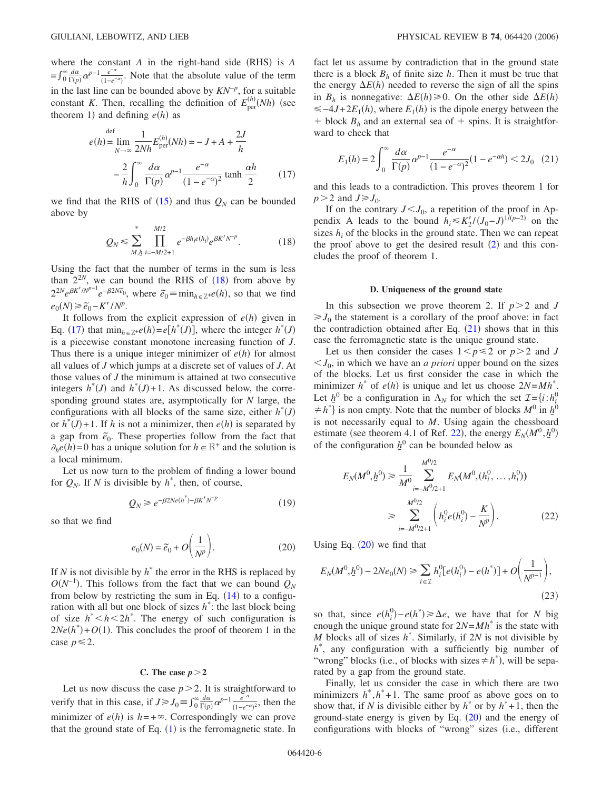where the constant  $A$  in the right-hand side (RHS) is  $A$  $=f_0^{\infty} \frac{d\alpha}{\Gamma(p)} \alpha^{p-1} \frac{e^{-\alpha}}{(1-e^{-\alpha})}$ . Note that the absolute value of the term in the last line can be bounded above by *KN*−*<sup>p</sup>* , for a suitable constant *K*. Then, recalling the definition of  $E_{\text{per}}^{(n)}$  $\binom{(h)}{\text{per}}(Nh)$  (see theorem 1) and defining  $e(h)$  as

<span id="page-5-1"></span>
$$
e(h) = \lim_{N \to \infty} \frac{1}{2Nh} E_{\text{per}}^{(h)}(Nh) = -J + A + \frac{2J}{h}
$$

$$
- \frac{2}{h} \int_0^\infty \frac{d\alpha}{\Gamma(p)} \alpha^{p-1} \frac{e^{-\alpha}}{(1 - e^{-\alpha})^2} \tanh \frac{\alpha h}{2} \qquad (17)
$$

<span id="page-5-0"></span>we find that the RHS of  $(15)$  $(15)$  $(15)$  and thus  $Q_N$  can be bounded above by

$$
Q_N \leq \sum_{M,h}^{*} \prod_{i=-M/2+1}^{M/2} e^{-\beta h_i e(h_i)} e^{\beta K' N^{-p}}.
$$
 (18)

Using the fact that the number of terms in the sum is less than  $2^{2N}$ , we can bound the RHS of  $(18)$  $(18)$  $(18)$  from above by  $2^{2N}e^{\beta K'/N^{p-1}}e^{-\beta 2N\tilde{e}_0}$ , where  $\tilde{e}_0 \equiv \min_{h \in \mathbb{Z}^+}e(h)$ , so that we find  $e_0(N) \geq \tilde{e}_0 - K'/N^p$ .

It follows from the explicit expression of  $e(h)$  given in Eq. ([17](#page-5-1)) that  $\min_{h \in \mathbb{Z}^+} e(h) = e[h^*(J)]$ , where the integer  $h^*(J)$ is a piecewise constant monotone increasing function of *J*. Thus there is a unique integer minimizer of  $e(h)$  for almost all values of *J* which jumps at a discrete set of values of *J*. At those values of *J* the minimum is attained at two consecutive integers  $h^*(J)$  and  $h^*(J)+1$ . As discussed below, the corresponding ground states are, asymptotically for *N* large, the configurations with all blocks of the same size, either  $h^*(J)$ or  $h^*(J) + 1$ . If *h* is not a minimizer, then  $e(h)$  is separated by a gap from  $\tilde{e}_0$ . These properties follow from the fact that  $\partial_h e(h) = 0$  has a unique solution for  $h \in \mathbb{R}^+$  and the solution is a local minimum.

Let us now turn to the problem of finding a lower bound for  $Q_N$ . If *N* is divisible by  $h^*$ , then, of course,

$$
Q_N \geq e^{-\beta 2Ne(h^*) - \beta K' N^{-p}} \tag{19}
$$

<span id="page-5-3"></span>so that we find

$$
e_0(N) = \tilde{e}_0 + O\left(\frac{1}{N^p}\right).
$$
 (20)

If *N* is not divisible by  $h^*$  the error in the RHS is replaced by  $O(N^{-1})$ . This follows from the fact that we can bound  $Q_N$ from below by restricting the sum in Eq.  $(14)$  $(14)$  $(14)$  to a configuration with all but one block of sizes *h*\* : the last block being of size  $h^*$  <  $h$  <  $2h^*$ . The energy of such configuration is  $2Ne(h^*) + O(1)$ . This concludes the proof of theorem 1 in the case  $p \leq 2$ .

### C. The case  $p > 2$

Let us now discuss the case  $p>2$ . It is straightforward to verify that in this case, if  $J \ge J_0 = \int_0^\infty \frac{d\alpha}{\Gamma(p)} \alpha^{p-1} \frac{e^{-\alpha}}{(1 - e^{-\alpha})^2}$ , then the minimizer of  $e(h)$  is  $h = +\infty$ . Correspondingly we can prove that the ground state of Eq.  $(1)$  $(1)$  $(1)$  is the ferromagnetic state. In fact let us assume by contradiction that in the ground state there is a block  $B_h$  of finite size  $h$ . Then it must be true that the energy  $\Delta E(h)$  needed to reverse the sign of all the spins in  $B_h$  is nonnegative:  $\Delta E(h) \ge 0$ . On the other side  $\Delta E(h)$  $\leq -4J+2E_1(h)$ , where  $E_1(h)$  is the dipole energy between the  $+$  block  $B_h$  and an external sea of  $+$  spins. It is straightforward to check that

<span id="page-5-2"></span>
$$
E_1(h) = 2\int_0^\infty \frac{d\alpha}{\Gamma(p)} \alpha^{p-1} \frac{e^{-\alpha}}{(1 - e^{-\alpha})^2} (1 - e^{-\alpha h}) < 2J_0 \quad (21)
$$

and this leads to a contradiction. This proves theorem 1 for  $p > 2$  and  $J \ge J_0$ .

If on the contrary  $J < J_0$ , a repetition of the proof in Appendix A leads to the bound  $h_i \leq K_2' / (J_0 - J)^{1/(p-2)}$  on the sizes  $h_i$  of the blocks in the ground state. Then we can repeat the proof above to get the desired result  $(2)$  $(2)$  $(2)$  and this concludes the proof of theorem 1.

### **D. Uniqueness of the ground state**

In this subsection we prove theorem 2. If  $p > 2$  and *J*  $\geq J_0$  the statement is a corollary of the proof above: in fact the contradiction obtained after Eq.  $(21)$  $(21)$  $(21)$  shows that in this case the ferromagnetic state is the unique ground state.

Let us then consider the cases  $1 < p \le 2$  or  $p > 2$  and *J*  $\langle J_0$ , in which we have an *a priori* upper bound on the sizes of the blocks. Let us first consider the case in which the minimizer  $h^*$  of  $e(h)$  is unique and let us choose  $2N = Mh^*$ . Let  $h^0$  be a configuration in  $\Lambda_N$  for which the set  $\mathcal{I} = \{i : h^0_i\}$  $\neq h^*$  is non empty. Note that the number of blocks  $M^0$  in  $h^0$ is not necessarily equal to *M*. Using again the chessboard estimate (see theorem 4.1 of Ref. [22](#page-10-15)), the energy  $E_N(M^0, h^0)$ of the configuration  $h^0$  can be bounded below as

$$
E_N(M^0, \underline{h}^0) \ge \frac{1}{M^0} \sum_{i=-M^0/2+1}^{M^0/2} E_N(M^0, (h_i^0, \dots, h_i^0))
$$
  

$$
\ge \sum_{i=-M^0/2+1}^{M^0/2} \left( h_i^0 e(h_i^0) - \frac{K}{N^p} \right).
$$
 (22)

Using Eq.  $(20)$  $(20)$  $(20)$  we find that

$$
E_N(M^0, \underline{h}^0) - 2Ne_0(N) \ge \sum_{i \in \mathcal{I}} h_i^0 [e(h_i^0) - e(h^*)] + O\left(\frac{1}{N^{p-1}}\right),\tag{23}
$$

so that, since  $e(h_i^0) - e(h^*) \ge \Delta e$ , we have that for *N* big enough the unique ground state for  $2N = Mh^*$  is the state with *M* blocks all of sizes *h*\* . Similarly, if 2*N* is not divisible by *h*\* , any configuration with a sufficiently big number of "wrong" blocks (i.e., of blocks with sizes  $\neq h^*$ ), will be separated by a gap from the ground state.

Finally, let us consider the case in which there are two minimizers  $h^*$ ,  $h^*+1$ . The same proof as above goes on to show that, if *N* is divisible either by  $h^*$  or by  $h^*+1$ , then the ground-state energy is given by Eq.  $(20)$  $(20)$  $(20)$  and the energy of configurations with blocks of "wrong" sizes (i.e., different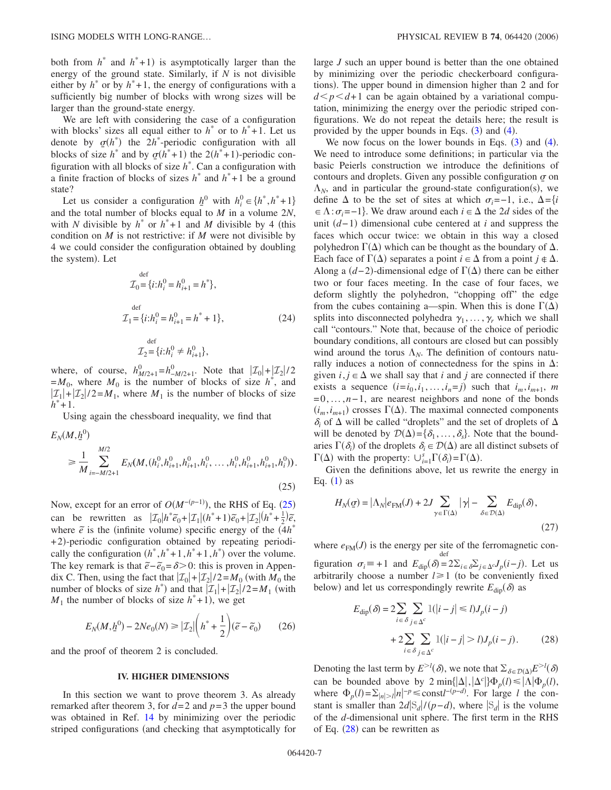both from  $h^*$  and  $h^*$ +1) is asymptotically larger than the energy of the ground state. Similarly, if *N* is not divisible either by  $h^*$  or by  $h^*+1$ , the energy of configurations with a sufficiently big number of blocks with wrong sizes will be larger than the ground-state energy.

We are left with considering the case of a configuration with blocks' sizes all equal either to  $h^*$  or to  $h^*+1$ . Let us denote by  $q(h^*)$  the  $2h^*$ -periodic configuration with all blocks of size  $h^*$  and by  $q(h^*+1)$  the  $2(h^*+1)$ -periodic configuration with all blocks of size *h*\* . Can a configuration with a finite fraction of blocks of sizes  $h^*$  and  $h^*$ +1 be a ground state?

Let us consider a configuration  $h^0$  with  $h^0_i \in \{h^*, h^*+1\}$ and the total number of blocks equal to *M* in a volume 2*N*, with *N* divisible by  $h^*$  or  $h^*+1$  and *M* divisible by 4 (this condition on *M* is not restrictive: if *M* were not divisible by 4 we could consider the configuration obtained by doubling the system). Let

$$
\mathcal{I}_0 = \{i : h_i^0 = h_{i+1}^0 = h^*\},
$$
  
\n
$$
\mathcal{I}_1 = \{i : h_i^0 = h_{i+1}^0 = h^* + 1\},
$$
\n(24)

$$
\mathcal{I}_2 = \{i : h_i^0 \neq h_{i+1}^0\},\
$$

where, of course,  $h_{M/2+1}^{0} = h_{-M/2+1}^{0}$ . Note that  $|\mathcal{I}_0| + |\mathcal{I}_2|/2$  $=M_0$ , where  $M_0$  is the number of blocks of size  $h^*$ , and  $|\mathcal{I}_1|+|\mathcal{I}_2|/2=M_1$ , where  $M_1$  is the number of blocks of size  $h^*+1$ .

Using again the chessboard inequality, we find that

<span id="page-6-0"></span>
$$
E_N(M, \underline{h}^0)
$$
  
\n
$$
\geq \frac{1}{M} \sum_{i=-M/2+1}^{M/2} E_N(M, (h_i^0, h_{i+1}^0, h_{i+1}^0, h_i^0, \dots, h_i^0, h_{i+1}^0, h_{i+1}^0, h_i^0)).
$$
\n(25)

Now, except for an error of  $O(M^{-(p-1)})$ , the RHS of Eq. ([25](#page-6-0)) can be rewritten as  $|\mathcal{I}_0| h^* \tilde{e}_0 + |\mathcal{I}_1| (h^* + 1) \tilde{e}_0 + |\mathcal{I}_2| (h^* + \frac{1}{2}) \tilde{e}_1$ where  $\tilde{e}$  is the (infinite volume) specific energy of the  $(4h^*$ +2)-periodic configuration obtained by repeating periodically the configuration  $(h^*, h^*+1, h^*+1, h^*)$  over the volume. The key remark is that  $\tilde{e}$ − $\tilde{e}_0$ = $\delta$ >0: this is proven in Appendix C. Then, using the fact that  $|\mathcal{I}_0|+|\mathcal{I}_2|/2=M_0$  (with  $M_0$  the number of blocks of size  $h^*$ ) and that  $|\mathcal{I}_1| + |\mathcal{I}_2|/2 = M_1$  (with  $M_1$  the number of blocks of size  $h^*$ +1), we get

$$
E_N(M, \underline{h}^0) - 2Ne_0(N) \ge | \mathcal{I}_2 | \left( h^* + \frac{1}{2} \right) (\tilde{e} - \tilde{e}_0) \tag{26}
$$

and the proof of theorem 2 is concluded.

### **IV. HIGHER DIMENSIONS**

In this section we want to prove theorem 3. As already remarked after theorem 3, for  $d=2$  and  $p=3$  the upper bound was obtained in Ref. [14](#page-10-11) by minimizing over the periodic striped configurations (and checking that asymptotically for large *J* such an upper bound is better than the one obtained by minimizing over the periodic checkerboard configurations). The upper bound in dimension higher than 2 and for  $d \leq p \leq d+1$  can be again obtained by a variational computation, minimizing the energy over the periodic striped configurations. We do not repeat the details here; the result is provided by the upper bounds in Eqs.  $(3)$  $(3)$  $(3)$  and  $(4)$  $(4)$  $(4)$ .

We now focus on the lower bounds in Eqs.  $(3)$  $(3)$  $(3)$  and  $(4)$  $(4)$  $(4)$ . We need to introduce some definitions; in particular via the basic Peierls construction we introduce the definitions of contours and droplets. Given any possible configuration  $\sigma$  on  $\Lambda_N$ , and in particular the ground-state configuration(s), we define  $\Delta$  to be the set of sites at which  $\sigma_i$ =−1, i.e.,  $\Delta$ ={*i*  $\in \Lambda$  :  $\sigma_i$  =−1. We draw around each  $i \in \Delta$  the 2*d* sides of the unit (*d*−1) dimensional cube centered at *i* and suppress the faces which occur twice: we obtain in this way a closed polyhedron  $\Gamma(\Delta)$  which can be thought as the boundary of  $\Delta$ . Each face of  $\Gamma(\Delta)$  separates a point  $i \in \Delta$  from a point  $j \notin \Delta$ . Along a  $(d-2)$ -dimensional edge of  $\Gamma(\Delta)$  there can be either two or four faces meeting. In the case of four faces, we deform slightly the polyhedron, "chopping off" the edge from the cubes containing a—spin. When this is done  $\Gamma(\Delta)$ splits into disconnected polyhedra  $\gamma_1, \ldots, \gamma_r$  which we shall call "contours." Note that, because of the choice of periodic boundary conditions, all contours are closed but can possibly wind around the torus  $\Lambda_N$ . The definition of contours naturally induces a notion of connectedness for the spins in  $\Delta$ : given  $i, j \in \Delta$  we shall say that *i* and *j* are connected if there exists a sequence  $(i=i_0, i_1, \ldots, i_n=j)$  such that  $i_m, i_{m+1}$ , *m* =0,...,*n*−1, are nearest neighbors and none of the bonds  $(i_m, i_{m+1})$  crosses  $\Gamma(\Delta)$ . The maximal connected components  $\delta_i$  of  $\Delta$  will be called "droplets" and the set of droplets of  $\Delta$ will be denoted by  $\mathcal{D}(\Delta) = \{\delta_1, \ldots, \delta_s\}$ . Note that the boundaries  $\Gamma(\delta_i)$  of the droplets  $\delta_i \in \mathcal{D}(\Delta)$  are all distinct subsets of  $\Gamma(\Delta)$  with the property:  $\bigcup_{i=1}^{s} \Gamma(\delta_i) = \Gamma(\Delta)$ .

<span id="page-6-2"></span>Given the definitions above, let us rewrite the energy in Eq.  $(1)$  $(1)$  $(1)$  as

$$
H_N(\sigma) = |\Lambda_N| e_{\text{FM}}(J) + 2J \sum_{\gamma \in \Gamma(\Delta)} |\gamma| - \sum_{\delta \in \mathcal{D}(\Delta)} E_{\text{dip}}(\delta),
$$
\n(27)

where  $e_{FM}(J)$  is the energy per site of the ferromagnetic configuration  $\sigma_i = +1$  and  $E_{\text{dip}}(\delta) = 2\Sigma_{i \in \delta} \Sigma_{j \in \Delta} c J_p(i-j)$ . Let us def arbitrarily choose a number  $l \geq 1$  (to be conveniently fixed below) and let us correspondingly rewrite  $E_{\text{dip}}(\delta)$  as

<span id="page-6-1"></span>
$$
E_{\text{dip}}(\delta) = 2 \sum_{i \in \delta} \sum_{j \in \Delta^c} \mathbb{1}(|i - j| \le l) J_p(i - j)
$$

$$
+ 2 \sum_{i \in \delta} \sum_{j \in \Delta^c} \mathbb{1}(|i - j| > l) J_p(i - j).
$$
(28)

Denoting the last term by  $E^{>l}(\delta)$ , we note that  $\Sigma_{\delta \in \mathcal{D}(\Delta)} E^{>l}(\delta)$ can be bounded above by  $2 \min\{|\Delta|, |\Delta^c|\} \Phi_p(l) \le |\Lambda| \Phi_p(l)$ , where  $\Phi_p(l) = \sum_{|n| > l} |n|^{-p} \le \text{const} \cdot l^{- (p - d)}$ . For large *l* the constant is smaller than  $2d|S_d|/(p-d)$ , where  $|S_d|$  is the volume of the *d*-dimensional unit sphere. The first term in the RHS of Eq.  $(28)$  $(28)$  $(28)$  can be rewritten as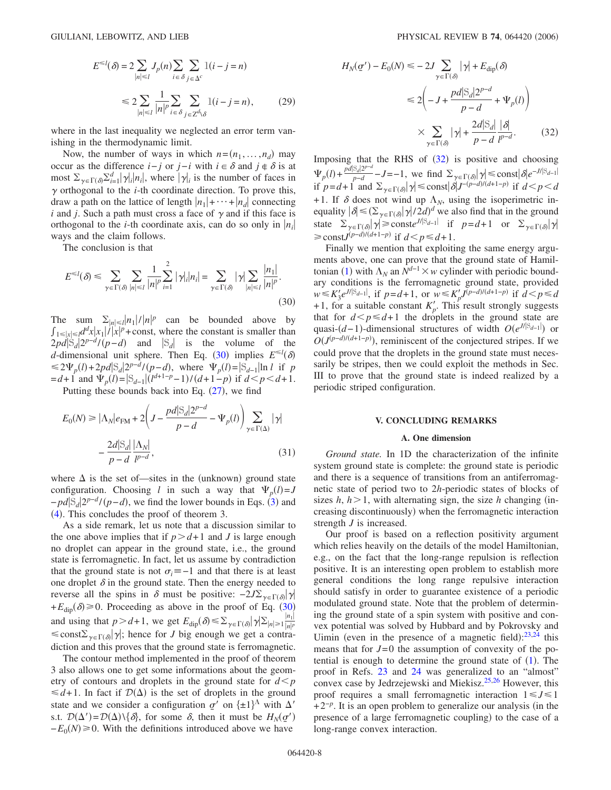$$
E^{\leq l}(\delta) = 2 \sum_{|n| \leq l} J_p(n) \sum_{i \in \delta} \sum_{j \in \Delta^c} 1(i - j = n)
$$
  

$$
\leq 2 \sum_{|n| \leq l} \frac{1}{|n|^p} \sum_{i \in \delta} \sum_{j \in \mathbb{Z}^d \setminus \delta} 1(i - j = n), \qquad (29)
$$

where in the last inequality we neglected an error term vanishing in the thermodynamic limit.

Now, the number of ways in which  $n = (n_1, \ldots, n_d)$  may occur as the difference *i*−*j* or *j*−*i* with  $i \in \delta$  and  $j \notin \delta$  is at most  $\sum_{\gamma \in \Gamma(\delta)} \sum_{i=1}^d |\gamma_i| |n_i|$ , where  $|\gamma|$  is the number of faces in  $\gamma$  orthogonal to the *i*-th coordinate direction. To prove this, draw a path on the lattice of length  $|n_1| + \cdots + |n_d|$  connecting *i* and *j*. Such a path must cross a face of  $\gamma$  and if this face is orthogonal to the *i*-th coordinate axis, can do so only in  $|n_i|$ ways and the claim follows.

The conclusion is that

<span id="page-7-0"></span>
$$
E^{\leq l}(\delta) \leq \sum_{\gamma \in \Gamma(\delta)} \sum_{|n| \leq l} \frac{1}{|n|^p} \sum_{i=1}^2 |\gamma|_i |n_i| = \sum_{\gamma \in \Gamma(\delta)} |\gamma| \sum_{|n| \leq l} \frac{|n_1|}{|n|^p}.
$$
\n(30)

The sum  $\sum_{|n| \le l} |n_1|/|n|^p$  can be bounded above by  $\int_{1 \le |x| \le l} d^dx |x_1|/|x|^p + \text{const},$  where the constant is smaller than  $2pd|\dot{S}_d|2^{p-d}/(p-d)$  and  $|S_d|$  is the volume of the *d*-dimensional unit sphere. Then Eq. ([30](#page-7-0)) implies  $E^{\le l}(\delta)$  $\leq 2\Psi_p(l) + 2pd|\mathcal{S}_d|2^{p-d}/(p-d)$ , where  $\Psi_p(l) = |\mathcal{S}_{d-1}| \ln l$  if p  $= d+1$  and  $\Psi_p(l) = |S_{d-1}|(l^{d+1-p}-1)/(d+1-p)$  if  $d < p < d+1$ .

Putting these bounds back into Eq.  $(27)$  $(27)$  $(27)$ , we find

$$
E_0(N) \ge |\Lambda_N|e_{\text{FM}} + 2\left(J - \frac{pd|\mathcal{S}_d|2^{p-d}}{p-d} - \Psi_p(l)\right) \sum_{\gamma \in \Gamma(\Delta)} |\gamma| - \frac{2d|\mathcal{S}_d|}{p-d} \frac{|\Lambda_N|}{l^{p-d}},
$$
\n(31)

where  $\Delta$  is the set of—sites in the (unknown) ground state configuration. Choosing *l* in such a way that  $\Psi_p(l) = J$  $-pd|S_d|2^{p-d}$  / $(p-d)$ , we find the lower bounds in Eqs. ([3](#page-2-0)) and  $(4)$  $(4)$  $(4)$ . This concludes the proof of theorem 3.

As a side remark, let us note that a discussion similar to the one above implies that if  $p > d+1$  and *J* is large enough no droplet can appear in the ground state, i.e., the ground state is ferromagnetic. In fact, let us assume by contradiction that the ground state is not  $\sigma_i = -1$  and that there is at least one droplet  $\delta$  in the ground state. Then the energy needed to reverse all the spins in  $\delta$  must be positive:  $-2J\Sigma_{\gamma \in \Gamma(\delta)}|\gamma|$  $+E_{\text{dip}}(\delta) \ge 0$ . Proceeding as above in the proof of Eq. ([30](#page-7-0)) and using that  $p > d+1$ , we get  $E_{\text{dip}}(\delta) \le \sum_{\gamma \in \Gamma(\delta)} |\gamma| \sum_{|n| \ge 1} \frac{|n|}{|n|^p}$  $|n|^p$  $\leq$  const $\sum_{\gamma \in \Gamma(\delta)} |\gamma|$ ; hence for *J* big enough we get a contradiction and this proves that the ground state is ferromagnetic.

The contour method implemented in the proof of theorem 3 also allows one to get some informations about the geometry of contours and droplets in the ground state for  $d \leq p$  $\leq d+1$ . In fact if  $\mathcal{D}(\Delta)$  is the set of droplets in the ground state and we consider a configuration  $\sigma'$  on  $\{\pm 1\}^{\Lambda}$  with  $\Delta'$ s.t.  $\mathcal{D}(\Delta') = \mathcal{D}(\Delta) \setminus \{\delta\}$ , for some  $\delta$ , then it must be  $H_N(\sigma')$  $-E_0(N) \ge 0$ . With the definitions introduced above we have

<span id="page-7-1"></span>
$$
H_N(\underline{\sigma}') - E_0(N) \le -2J \sum_{\gamma \in \Gamma(\delta)} |\gamma| + E_{\text{dip}}(\delta)
$$
  

$$
\le 2\left(-J + \frac{pd|\mathcal{S}_d|2^{p-d}}{p-d} + \Psi_p(l)\right)
$$
  

$$
\times \sum_{\gamma \in \Gamma(\delta)} |\gamma| + \frac{2d|\mathcal{S}_d|}{p-d} \frac{|\delta|}{p^{-d}}.
$$
 (32)

Imposing that the RHS of  $(32)$  $(32)$  $(32)$  is positive and choosing  $\Psi_p(t) + \frac{pd|\mathcal{S}_d|2^{p-d}}{p-d} - J = -1$ , we find  $\Sigma_{\gamma \in \Gamma(\delta)} |\gamma| \leq \text{const} |\delta| e^{-J|\mathcal{S}_{d-1}|}$ if  $p = d + 1$  and  $\Sigma_{\gamma \in \Gamma(\delta)} |\gamma| \le \text{const} |\delta| J^{-(p-d)/(d+1-p)}$  if  $d < p < d$ +1. If  $\delta$  does not wind up  $\Lambda_N$ , using the isoperimetric inequality  $|\delta| \leq (\sum_{\gamma \in \Gamma(\delta)} |\gamma|/2d)^d$  we also find that in the ground state  $\sum_{\gamma \in \Gamma(\delta)} |\gamma| \ge \text{const} e^{J/|\mathcal{S}_{d-1}|}$  if  $p = d + 1$  or  $\sum_{\gamma \in \Gamma(\delta)} |\gamma|$  $\geq$  const*J*<sup>(*p*−*d*)/(*d*+1−*p*) if *d* < *p* ≤ *d*+1.</sup>

Finally we mention that exploiting the same energy arguments above, one can prove that the ground state of Hamil-tonian ([1](#page-0-0)) with  $\Lambda_N$  an  $N^{d-1} \times w$  cylinder with periodic boundary conditions is the ferromagnetic ground state, provided *w* ≤  $K_3'e^{J/[S_{d-1}]}$ , if *p*=*d*+1, or *w* ≤  $K_p'J^{(p-d)/(d+1-p)}$  if *d* < *p* ≤ *d* +1, for a suitable constant  $K_p'$ . This result strongly suggests that for  $d \leq p \leq d+1$  the droplets in the ground state are quasi- $(d-1)$ -dimensional structures of width  $O(e^{J/|S_{d-1}|})$  or  $O(J^{(p-d)/(d+1-p)})$ , reminiscent of the conjectured stripes. If we could prove that the droplets in the ground state must necessarily be stripes, then we could exploit the methods in Sec. III to prove that the ground state is indeed realized by a periodic striped configuration.

#### **V. CONCLUDING REMARKS**

### **A. One dimension**

*Ground state.* In 1D the characterization of the infinite system ground state is complete: the ground state is periodic and there is a sequence of transitions from an antiferromagnetic state of period two to 2*h*-periodic states of blocks of sizes  $h, h > 1$ , with alternating sign, the size h changing (increasing discontinuously) when the ferromagnetic interaction strength *J* is increased.

Our proof is based on a reflection positivity argument which relies heavily on the details of the model Hamiltonian, e.g., on the fact that the long-range repulsion is reflection positive. It is an interesting open problem to establish more general conditions the long range repulsive interaction should satisfy in order to guarantee existence of a periodic modulated ground state. Note that the problem of determining the ground state of a spin system with positive and convex potential was solved by Hubbard and by Pokrovsky and Uimin (even in the presence of a magnetic field): $23,24$  $23,24$  this means that for  $J=0$  the assumption of convexity of the potential is enough to determine the ground state of  $(1)$  $(1)$  $(1)$ . The proof in Refs. [23](#page-10-16) and [24](#page-10-25) was generalized to an "almost" convex case by Jedrzejewski and Miekisz.<sup>25[,26](#page-10-27)</sup> However, this proof requires a small ferromagnetic interaction  $1 \le J \le 1$  $+2^{-p}$ . It is an open problem to generalize our analysis (in the presence of a large ferromagnetic coupling) to the case of a long-range convex interaction.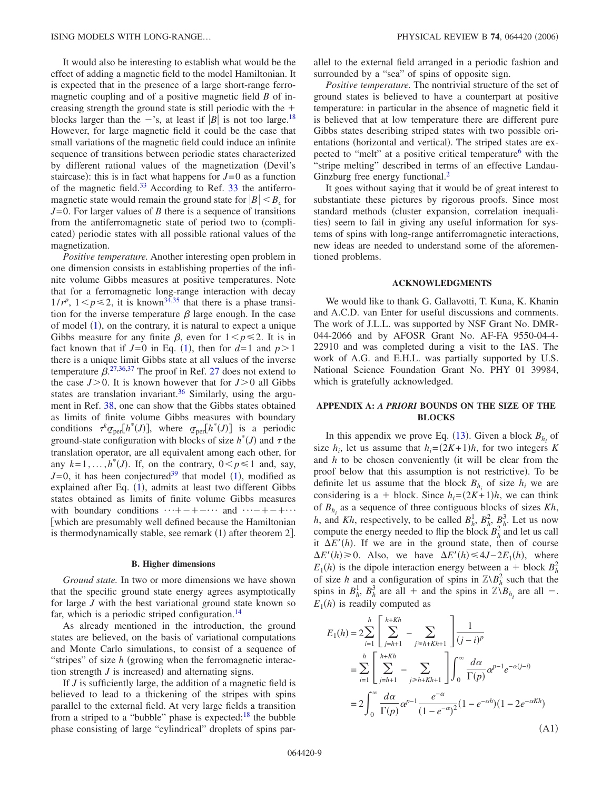It would also be interesting to establish what would be the effect of adding a magnetic field to the model Hamiltonian. It is expected that in the presence of a large short-range ferromagnetic coupling and of a positive magnetic field *B* of increasing strength the ground state is still periodic with the  $+$ blocks larger than the  $-$ 's, at least if  $|B|$  is not too large.<sup>18</sup> However, for large magnetic field it could be the case that small variations of the magnetic field could induce an infinite sequence of transitions between periodic states characterized by different rational values of the magnetization Devil's staircase): this is in fact what happens for  $J=0$  as a function of the magnetic field. $33$  According to Ref. 33 the antiferromagnetic state would remain the ground state for  $|B| < B_c$  for *J*=0. For larger values of *B* there is a sequence of transitions from the antiferromagnetic state of period two to (complicated) periodic states with all possible rational values of the magnetization.

*Positive temperature.* Another interesting open problem in one dimension consists in establishing properties of the infinite volume Gibbs measures at positive temperatures. Note that for a ferromagnetic long-range interaction with decay  $1/r^p$ ,  $1 < p \le 2$ , it is known<sup>[34](#page-10-30)[,35](#page-10-31)</sup> that there is a phase transition for the inverse temperature  $\beta$  large enough. In the case of model  $(1)$  $(1)$  $(1)$ , on the contrary, it is natural to expect a unique Gibbs measure for any finite  $\beta$ , even for  $1 \le p \le 2$ . It is in fact known that if  $J=0$  in Eq. ([1](#page-0-0)), then for  $d=1$  and  $p>1$ there is a unique limit Gibbs state at all values of the inverse temperature  $\beta$ <sup>[27](#page-10-17)[,36,](#page-10-32)[37](#page-10-33)</sup> The proof in Ref. 27 does not extend to the case  $J>0$ . It is known however that for  $J>0$  all Gibbs states are translation invariant.<sup>36</sup> Similarly, using the argument in Ref. [38,](#page-10-34) one can show that the Gibbs states obtained as limits of finite volume Gibbs measures with boundary conditions  $\tau^k \sigma_{\text{per}}[h^*(J)]$ , where  $\sigma_{\text{per}}[h^*(J)]$  is a periodic ground-state configuration with blocks of size  $h^*(J)$  and  $\tau$  the translation operator, are all equivalent among each other, for any  $k=1,\ldots,h^*(J)$ . If, on the contrary,  $0 < p \le 1$  and, say,  $J=0$ , it has been conjectured<sup>39</sup> that model ([1](#page-0-0)), modified as explained after Eq. ([1](#page-0-0)), admits at least two different Gibbs states obtained as limits of finite volume Gibbs measures with boundary conditions  $\cdots + - + - \cdots$  and  $\cdots - + - + \cdots$  which are presumably well defined because the Hamiltonian is thermodynamically stable, see remark (1) after theorem 2].

### **B. Higher dimensions**

*Ground state.* In two or more dimensions we have shown that the specific ground state energy agrees asymptotically for large *J* with the best variational ground state known so far, which is a periodic striped configuration.<sup>14</sup>

As already mentioned in the introduction, the ground states are believed, on the basis of variational computations and Monte Carlo simulations, to consist of a sequence of "stripes" of size *h* (growing when the ferromagnetic interaction strength  $J$  is increased) and alternating signs.

If *J* is sufficiently large, the addition of a magnetic field is believed to lead to a thickening of the stripes with spins parallel to the external field. At very large fields a transition from a striped to a "bubble" phase is expected: $18$  the bubble phase consisting of large "cylindrical" droplets of spins parallel to the external field arranged in a periodic fashion and surrounded by a "sea" of spins of opposite sign.

*Positive temperature.* The nontrivial structure of the set of ground states is believed to have a counterpart at positive temperature: in particular in the absence of magnetic field it is believed that at low temperature there are different pure Gibbs states describing striped states with two possible orientations (horizontal and vertical). The striped states are expected to "melt" at a positive critical temperature<sup>6</sup> with the "stripe melting" described in terms of an effective Landau-Ginzburg free energy functional.<sup>2</sup>

It goes without saying that it would be of great interest to substantiate these pictures by rigorous proofs. Since most standard methods (cluster expansion, correlation inequalities) seem to fail in giving any useful information for systems of spins with long-range antiferromagnetic interactions, new ideas are needed to understand some of the aforementioned problems.

### **ACKNOWLEDGMENTS**

We would like to thank G. Gallavotti, T. Kuna, K. Khanin and A.C.D. van Enter for useful discussions and comments. The work of J.L.L. was supported by NSF Grant No. DMR-044-2066 and by AFOSR Grant No. AF-FA 9550-04-4- 22910 and was completed during a visit to the IAS. The work of A.G. and E.H.L. was partially supported by U.S. National Science Foundation Grant No. PHY 01 39984, which is gratefully acknowledged.

# **APPENDIX A:** *A PRIORI* **BOUNDS ON THE SIZE OF THE BLOCKS**

In this appendix we prove Eq.  $(13)$  $(13)$  $(13)$ . Given a block  $B_{h_i}$  of size  $h_i$ , let us assume that  $h_i = (2K+1)h$ , for two integers *K* and *h* to be chosen conveniently (it will be clear from the proof below that this assumption is not restrictive). To be definite let us assume that the block  $B_{h_i}$  of size  $h_i$  we are considering is a + block. Since  $h_i = (2K+1)h$ , we can think of  $B_h$  as a sequence of three contiguous blocks of sizes  $Kh$ , *h*, and *Kh*, respectively, to be called  $B_h^1$ ,  $B_h^2$ ,  $B_h^3$ . Let us now compute the energy needed to flip the block  $B_h^2$  and let us call it  $\Delta E'(h)$ . If we are in the ground state, then of course  $\Delta E'(h) \ge 0$ . Also, we have  $\Delta E'(h) \le 4J - 2E_1(h)$ , where  $E_1(h)$  is the dipole interaction energy between a + block  $B_h^2$ of size *h* and a configuration of spins in  $\mathbb{Z}\setminus B_h^2$  such that the spins in  $B_h^1$ ,  $B_h^3$  are all + and the spins in  $\mathbb{Z}\setminus B_{h_i}$  are all -.  $E_1(h)$  is readily computed as

$$
E_1(h) = 2 \sum_{i=1}^h \left[ \sum_{j=h+1}^{h+Kh} - \sum_{j \ge h+Kh+1} \right] \frac{1}{(j-i)^p}
$$
  
= 
$$
\sum_{i=1}^h \left[ \sum_{j=h+1}^{h+Kh} - \sum_{j \ge h+Kh+1} \right] \int_0^\infty \frac{d\alpha}{\Gamma(p)} \alpha^{p-1} e^{-\alpha(j-i)}
$$
  
= 
$$
2 \int_0^\infty \frac{d\alpha}{\Gamma(p)} \alpha^{p-1} \frac{e^{-\alpha}}{(1-e^{-\alpha})^2} (1-e^{-\alpha h})(1-2e^{-\alpha Kh})
$$
(A1)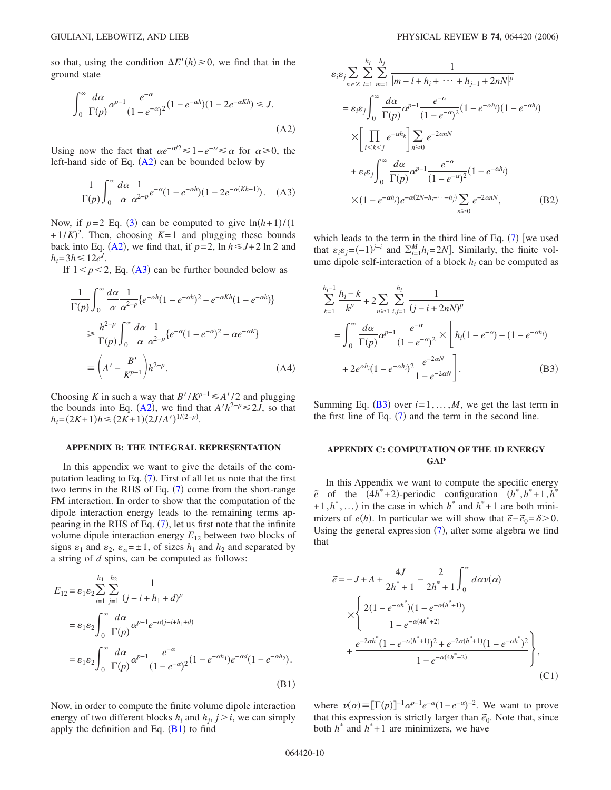<span id="page-9-0"></span>so that, using the condition  $\Delta E'(h) \ge 0$ , we find that in the ground state

$$
\int_0^\infty \frac{d\alpha}{\Gamma(p)} \alpha^{p-1} \frac{e^{-\alpha}}{(1 - e^{-\alpha})^2} (1 - e^{-\alpha h})(1 - 2e^{-\alpha Kh}) \le J.
$$
\n(A2)

<span id="page-9-1"></span>Using now the fact that  $\alpha e^{-\alpha/2} \leq 1 - e^{-\alpha} \leq \alpha$  for  $\alpha \geq 0$ , the left-hand side of Eq.  $(A2)$  $(A2)$  $(A2)$  can be bounded below by

$$
\frac{1}{\Gamma(p)} \int_0^\infty \frac{d\alpha}{\alpha} \frac{1}{\alpha^{2-p}} e^{-\alpha} (1 - e^{-\alpha h})(1 - 2e^{-\alpha(Kh-1)}). \quad (A3)
$$

Now, if  $p=2$  Eq. ([3](#page-2-0)) can be computed to give  $\ln(h+1)/(1)$  $+(1/K)^2$ . Then, choosing  $K=1$  and plugging these bounds back into Eq. ([A2](#page-9-0)), we find that, if  $p=2$ ,  $\ln h \leq J+2 \ln 2$  and  $h_i = 3h \le 12e^J$ .

If  $1 < p < 2$ , Eq. ([A3](#page-9-1)) can be further bounded below as

$$
\frac{1}{\Gamma(p)} \int_0^\infty \frac{d\alpha}{\alpha} \frac{1}{\alpha^{2-p}} \{e^{-\alpha h} (1 - e^{-\alpha h})^2 - e^{-\alpha Kh} (1 - e^{-\alpha h})\}
$$
  
\n
$$
\geq \frac{h^{2-p}}{\Gamma(p)} \int_0^\infty \frac{d\alpha}{\alpha} \frac{1}{\alpha^{2-p}} \{e^{-\alpha} (1 - e^{-\alpha})^2 - \alpha e^{-\alpha K}\}
$$
  
\n
$$
\equiv \left(A' - \frac{B'}{K^{p-1}}\right) h^{2-p}.
$$
 (A4)

Choosing *K* in such a way that  $B'/K^{p-1} \leq A'/2$  and plugging the bounds into Eq. ([A2](#page-9-0)), we find that  $A'h^{2-p} \le 2J$ , so that  $h_i = (2K+1)h \leq (2K+1)(2J/A')^{1/(2-p)}.$ 

#### **APPENDIX B: THE INTEGRAL REPRESENTATION**

In this appendix we want to give the details of the com-putation leading to Eq. ([7](#page-3-1)). First of all let us note that the first two terms in the RHS of Eq.  $(7)$  $(7)$  $(7)$  come from the short-range FM interaction. In order to show that the computation of the dipole interaction energy leads to the remaining terms appearing in the RHS of Eq.  $(7)$  $(7)$  $(7)$ , let us first note that the infinite volume dipole interaction energy  $E_{12}$  between two blocks of signs  $\varepsilon_1$  and  $\varepsilon_2$ ,  $\varepsilon_\alpha = \pm 1$ , of sizes  $h_1$  and  $h_2$  and separated by a string of *d* spins, can be computed as follows:

<span id="page-9-2"></span>
$$
E_{12} = \varepsilon_1 \varepsilon_2 \sum_{i=1}^{h_1} \sum_{j=1}^{h_2} \frac{1}{(j - i + h_1 + d)^p}
$$
  
=  $\varepsilon_1 \varepsilon_2 \int_0^\infty \frac{d\alpha}{\Gamma(p)} \alpha^{p-1} e^{-\alpha(j - i + h_1 + d)}$   
=  $\varepsilon_1 \varepsilon_2 \int_0^\infty \frac{d\alpha}{\Gamma(p)} \alpha^{p-1} \frac{e^{-\alpha}}{(1 - e^{-\alpha})^2} (1 - e^{-\alpha h_1}) e^{-\alpha d} (1 - e^{-\alpha h_2}).$  (B1)

Now, in order to compute the finite volume dipole interaction energy of two different blocks  $h_i$  and  $h_j$ ,  $j > i$ , we can simply apply the definition and Eq.  $(B1)$  $(B1)$  $(B1)$  to find

$$
\varepsilon_i \varepsilon_j \sum_{n \in \mathbb{Z}} \sum_{l=1}^{h_i} \sum_{m=1}^{h_j} \frac{1}{|m - l + h_i + \dots + h_{j-1} + 2nN|^p}
$$
\n
$$
= \varepsilon_i \varepsilon_j \int_0^\infty \frac{d\alpha}{\Gamma(p)} \alpha^{p-1} \frac{e^{-\alpha}}{(1 - e^{-\alpha})^2} (1 - e^{-\alpha h_i})(1 - e^{-\alpha h_j})
$$
\n
$$
\times \left[ \prod_{i < k < j} e^{-\alpha h_k} \right] \sum_{n \ge 0} e^{-2\alpha n N}
$$
\n
$$
+ \varepsilon_i \varepsilon_j \int_0^\infty \frac{d\alpha}{\Gamma(p)} \alpha^{p-1} \frac{e^{-\alpha}}{(1 - e^{-\alpha})^2} (1 - e^{-\alpha h_i})
$$
\n
$$
\times (1 - e^{-\alpha h_j}) e^{-\alpha (2N - h_i - \dots - h_j)} \sum_{n \ge 0} e^{-2\alpha n N}, \quad (B2)
$$

which leads to the term in the third line of Eq.  $(7)$  $(7)$  $(7)$  [we used that  $\varepsilon_i \varepsilon_j = (-1)^{j-i}$  and  $\sum_{i=1}^M h_i = 2N$ . Similarly, the finite volume dipole self-interaction of a block  $h_i$  can be computed as

<span id="page-9-3"></span>
$$
\sum_{k=1}^{h_i-1} \frac{h_i - k}{k^p} + 2 \sum_{n \ge 1} \sum_{i,j=1}^{h_i} \frac{1}{(j - i + 2nN)^p}
$$
  
= 
$$
\int_0^\infty \frac{d\alpha}{\Gamma(p)} \alpha^{p-1} \frac{e^{-\alpha}}{(1 - e^{-\alpha})^2} \times \left[ h_i (1 - e^{-\alpha}) - (1 - e^{-\alpha h_i}) \right]
$$
  
+ 
$$
2e^{\alpha h_i} (1 - e^{-\alpha h_i})^2 \frac{e^{-2\alpha N}}{1 - e^{-2\alpha N}}.
$$
 (B3)

Summing Eq.  $(B3)$  $(B3)$  $(B3)$  over  $i=1,\ldots,M$ , we get the last term in the first line of Eq.  $(7)$  $(7)$  $(7)$  and the term in the second line.

## **APPENDIX C: COMPUTATION OF THE 1D ENERGY GAP**

In this Appendix we want to compute the specific energy  $\tilde{e}$  of the  $(4h^*+2)$ -periodic configuration  $(h^*, h^*+1, h^*$  $+1, h^*, \ldots$ ) in the case in which  $h^*$  and  $h^*+1$  are both minimizers of *e*(*h*). In particular we will show that  $\tilde{e} - \tilde{e}_0 = \delta > 0$ . Using the general expression  $(7)$  $(7)$  $(7)$ , after some algebra we find that

$$
\tilde{e} = -J + A + \frac{4J}{2h^* + 1} - \frac{2}{2h^* + 1} \int_0^{\infty} d\alpha \nu(\alpha)
$$

$$
\times \left\{ \frac{2(1 - e^{-\alpha h^*})(1 - e^{-\alpha(h^* + 1)})}{1 - e^{-\alpha(h^* + 2)}} + \frac{e^{-2\alpha h^*}(1 - e^{-\alpha(h^* + 1)})^2 + e^{-2\alpha(h^* + 1)}(1 - e^{-\alpha h^*})^2}{1 - e^{-\alpha(4h^* + 2)}} \right\},
$$
(C1)

where  $\nu(\alpha) \equiv [\Gamma(p)]^{-1} \alpha^{p-1} e^{-\alpha} (1 - e^{-\alpha})^{-2}$ . We want to prove that this expression is strictly larger than  $\tilde{e}_0$ . Note that, since both  $h^*$  and  $h^*+1$  are minimizers, we have